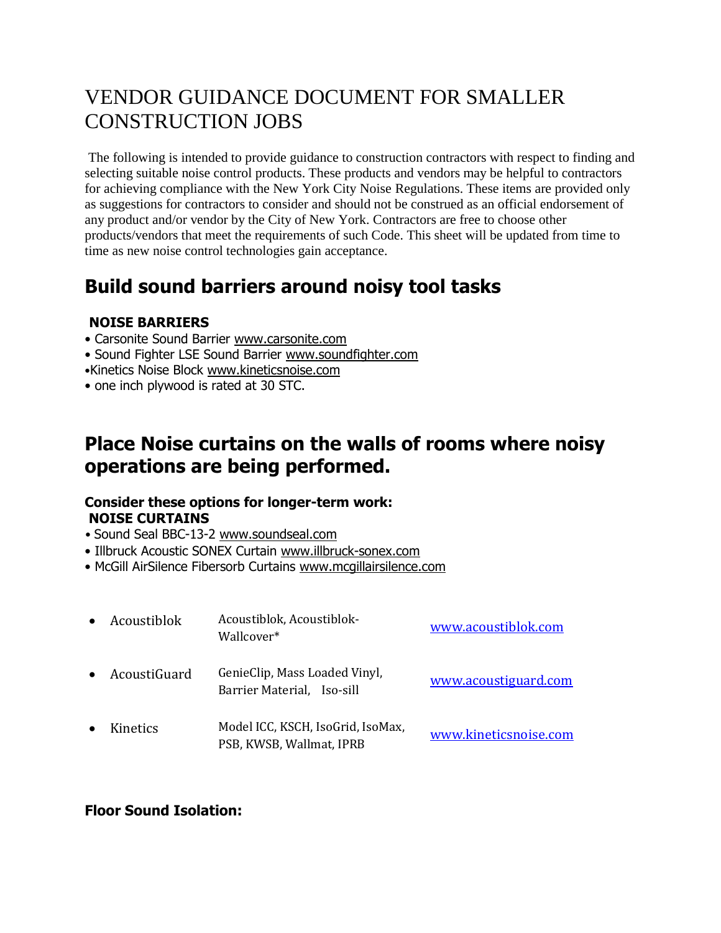# VENDOR GUIDANCE DOCUMENT FOR SMALLER CONSTRUCTION JOBS

The following is intended to provide guidance to construction contractors with respect to finding and selecting suitable noise control products. These products and vendors may be helpful to contractors for achieving compliance with the New York City Noise Regulations. These items are provided only as suggestions for contractors to consider and should not be construed as an official endorsement of any product and/or vendor by the City of New York. Contractors are free to choose other products/vendors that meet the requirements of such Code. This sheet will be updated from time to time as new noise control technologies gain acceptance.

# **Build sound barriers around noisy tool tasks**

#### **NOISE BARRIERS**

- Carsonite Sound Barrier www.carsonite.com
- Sound Fighter LSE Sound Barrier www.soundfighter.com
- •Kinetics Noise Block www.kineticsnoise.com
- one inch plywood is rated at 30 STC.

## **Place Noise curtains on the walls of rooms where noisy operations are being performed.**

#### **Consider these options for longer-term work: NOISE CURTAINS**

- Sound Seal BBC-13-2 www.soundseal.com
- Illbruck Acoustic SONEX Curtain www.illbruck-sonex.com
- McGill AirSilence Fibersorb Curtains www.mcgillairsilence.com

| Acoustiblok  | Acoustiblok, Acoustiblok-<br>Wallcover*                       | www.acoustiblok.com   |
|--------------|---------------------------------------------------------------|-----------------------|
| AcoustiGuard | GenieClip, Mass Loaded Vinyl,<br>Barrier Material, Iso-sill   | www.acoustiguard.com  |
| Kinetics     | Model ICC, KSCH, IsoGrid, IsoMax,<br>PSB, KWSB, Wallmat, IPRB | www.kineticsnoise.com |

#### **Floor Sound Isolation:**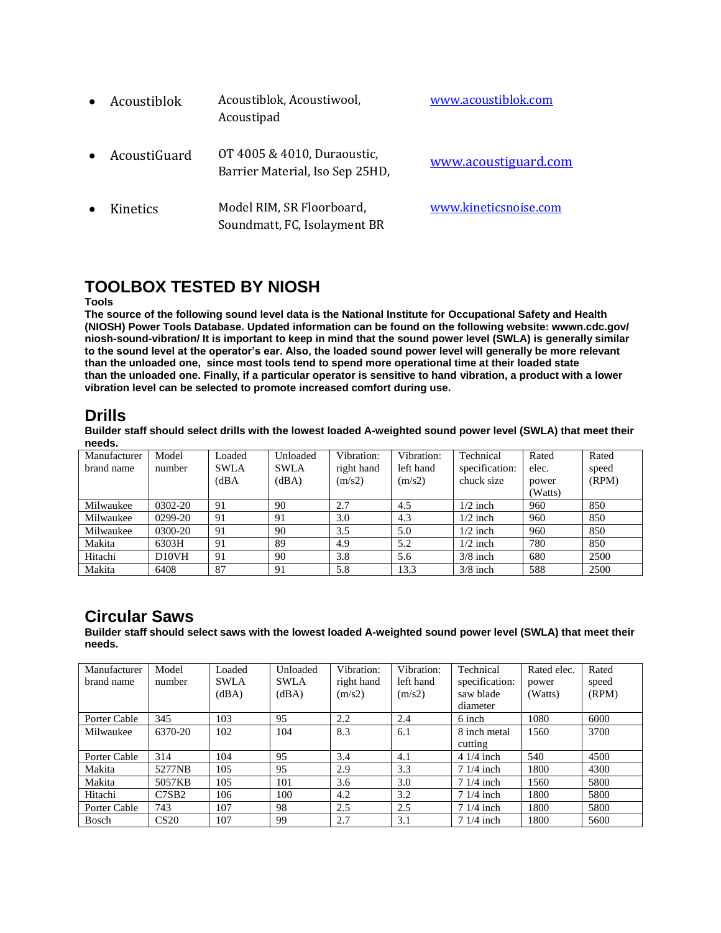| Acoustiblok     | Acoustiblok, Acoustiwool,<br>Acoustipad                        | www.acoustiblok.com   |
|-----------------|----------------------------------------------------------------|-----------------------|
| AcoustiGuard    | OT 4005 & 4010, Duraoustic,<br>Barrier Material, Iso Sep 25HD, | www.acoustiguard.com  |
| <b>Kinetics</b> | Model RIM, SR Floorboard,<br>Soundmatt, FC, Isolayment BR      | www.kineticsnoise.com |

### **TOOLBOX TESTED BY NIOSH**

#### **Tools**

**The source of the following sound level data is the National Institute for Occupational Safety and Health (NIOSH) Power Tools Database. Updated information can be found on the following website: wwwn.cdc.gov/ niosh-sound-vibration/ It is important to keep in mind that the sound power level (SWLA) is generally similar to the sound level at the operator's ear. Also, the loaded sound power level will generally be more relevant than the unloaded one, since most tools tend to spend more operational time at their loaded state than the unloaded one. Finally, if a particular operator is sensitive to hand vibration, a product with a lower vibration level can be selected to promote increased comfort during use.**

#### **Drills**

**Builder staff should select drills with the lowest loaded A-weighted sound power level (SWLA) that meet their needs.**

| Manufacturer | Model     | Loaded      | Unloaded    | Vibration: | Vibration: | Technical      | Rated   | Rated |
|--------------|-----------|-------------|-------------|------------|------------|----------------|---------|-------|
| brand name   | number    | <b>SWLA</b> | <b>SWLA</b> | right hand | left hand  | specification: | elec.   | speed |
|              |           | (dBA)       | (dBA)       | (m/s2)     | (m/s2)     | chuck size     | power   | (RPM) |
|              |           |             |             |            |            |                | (Watts) |       |
| Milwaukee    | 0302-20   | 91          | 90          | 2.7        | 4.5        | $1/2$ inch     | 960     | 850   |
| Milwaukee    | $0299-20$ | 91          | 91          | 3.0        | 4.3        | $1/2$ inch     | 960     | 850   |
| Milwaukee    | 0300-20   | 91          | 90          | 3.5        | 5.0        | $1/2$ inch     | 960     | 850   |
| Makita       | 6303H     | 91          | 89          | 4.9        | 5.2        | $1/2$ inch     | 780     | 850   |
| Hitachi      | D10VH     | 91          | 90          | 3.8        | 5.6        | $3/8$ inch     | 680     | 2500  |
| Makita       | 6408      | 87          | 91          | 5.8        | 13.3       | $3/8$ inch     | 588     | 2500  |

#### **Circular Saws**

**Builder staff should select saws with the lowest loaded A-weighted sound power level (SWLA) that meet their needs.**

| Manufacturer | Model             | Loaded      | Unloaded    | Vibration: | Vibration: | Technical      | Rated elec. | Rated |
|--------------|-------------------|-------------|-------------|------------|------------|----------------|-------------|-------|
| brand name   | number            | <b>SWLA</b> | <b>SWLA</b> | right hand | left hand  | specification: | power       | speed |
|              |                   | (dBA)       | (dBA)       | (m/s2)     | (m/s2)     | saw blade      | (Watts)     | (RPM) |
|              |                   |             |             |            |            | diameter       |             |       |
| Porter Cable | 345               | 103         | 95          | 2.2        | 2.4        | 6 inch         | 1080        | 6000  |
| Milwaukee    | 6370-20           | 102         | 104         | 8.3        | 6.1        | 8 inch metal   | 1560        | 3700  |
|              |                   |             |             |            |            | cutting        |             |       |
| Porter Cable | 314               | 104         | 95          | 3.4        | 4.1        | $41/4$ inch    | 540         | 4500  |
| Makita       | 5277NB            | 105         | 95          | 2.9        | 3.3        | $71/4$ inch    | 1800        | 4300  |
| Makita       | 5057KB            | 105         | 101         | 3.6        | 3.0        | $71/4$ inch    | 1560        | 5800  |
| Hitachi      | C7SB <sub>2</sub> | 106         | 100         | 4.2        | 3.2        | $71/4$ inch    | 1800        | 5800  |
| Porter Cable | 743               | 107         | 98          | 2.5        | 2.5        | $71/4$ inch    | 1800        | 5800  |
| Bosch        | CS <sub>20</sub>  | 107         | 99          | 2.7        | 3.1        | $71/4$ inch    | 1800        | 5600  |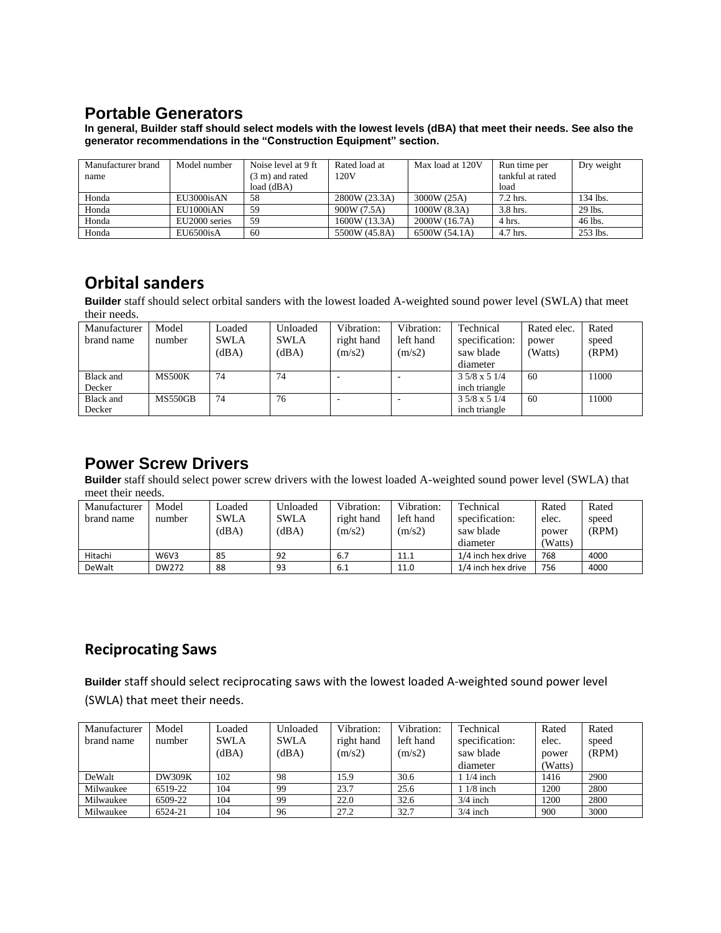#### **Portable Generators**

**In general, Builder staff should select models with the lowest levels (dBA) that meet their needs. See also the generator recommendations in the "Construction Equipment" section.**

| Manufacturer brand | Model number  | Noise level at 9 ft | Rated load at | Max load at 120V | Run time per     | Dry weight |
|--------------------|---------------|---------------------|---------------|------------------|------------------|------------|
| name               |               | (3 m) and rated     | 120V          |                  | tankful at rated |            |
|                    |               | load $(dBA)$        |               |                  | load             |            |
| Honda              | EU3000isAN    | 58                  | 2800W (23.3A) | 3000W (25A)      | 7.2 hrs.         | 134 lbs.   |
| Honda              | EU1000iAN     | 59                  | 900W (7.5A)   | 1000W (8.3A)     | 3.8 hrs.         | 29 lbs.    |
| Honda              | EU2000 series | 59                  | 1600W (13.3A) | 2000W (16.7A)    | 4 hrs.           | 46 lbs.    |
| Honda              | EU6500isA     | 60                  | 5500W (45.8A) | 6500W (54.1A)    | 4.7 hrs.         | 253 lbs.   |

### **Orbital sanders**

**Builder** staff should select orbital sanders with the lowest loaded A-weighted sound power level (SWLA) that meet their needs.

| Manufacturer     | Model          | Loaded      | Unloaded    | Vibration:               | Vibration:               | Technical            | Rated elec. | Rated |
|------------------|----------------|-------------|-------------|--------------------------|--------------------------|----------------------|-------------|-------|
| brand name       | number         | <b>SWLA</b> | <b>SWLA</b> | right hand               | left hand                | specification:       | power       | speed |
|                  |                | (dBA)       | (dBA)       | (m/s2)                   | (m/s2)                   | saw blade            | (Watts)     | (RPM) |
|                  |                |             |             |                          |                          | diameter             |             |       |
| <b>Black and</b> | <b>MS500K</b>  | 74          | 74          | $\overline{\phantom{a}}$ | $\overline{\phantom{a}}$ | $3.5/8 \times 5.1/4$ | 60          | 11000 |
| Decker           |                |             |             |                          |                          | inch triangle        |             |       |
| <b>Black</b> and | <b>MS550GB</b> | 74          | 76          | -                        |                          | $3.5/8 \times 5.1/4$ | 60          | 11000 |
| Decker           |                |             |             |                          |                          | inch triangle        |             |       |

#### **Power Screw Drivers**

**Builder** staff should select power screw drivers with the lowest loaded A-weighted sound power level (SWLA) that meet their needs.

| Manufacturer | Model       | Loaded      | Unloaded    | Vibration: | Vibration: | Technical          | Rated   | Rated |
|--------------|-------------|-------------|-------------|------------|------------|--------------------|---------|-------|
| brand name   | number      | <b>SWLA</b> | <b>SWLA</b> | right hand | left hand  | specification:     | elec.   | speed |
|              |             | (dBA)       | (dBA)       | (m/s2)     | (m/s2)     | saw blade          | power   | (RPM) |
|              |             |             |             |            |            | diameter           | (Watts) |       |
| Hitachi      | <b>W6V3</b> | 85          | 92          | 6.7        | 11.1       | 1/4 inch hex drive | 768     | 4000  |
| DeWalt       | DW272       | 88          | 93          | 6.1        | 11.0       | 1/4 inch hex drive | 756     | 4000  |

#### **Reciprocating Saws**

**Builder** staff should select reciprocating saws with the lowest loaded A-weighted sound power level (SWLA) that meet their needs.

| Manufacturer<br>brand name | Model<br>number | Loaded<br><b>SWLA</b><br>(dBA) | Unloaded<br><b>SWLA</b><br>(dBA) | Vibration:<br>right hand<br>(m/s2) | Vibration:<br>left hand<br>(m/s2) | Technical<br>specification:<br>saw blade<br>diameter | Rated<br>elec.<br>power<br>(Watts) | Rated<br>speed<br>(RPM) |
|----------------------------|-----------------|--------------------------------|----------------------------------|------------------------------------|-----------------------------------|------------------------------------------------------|------------------------------------|-------------------------|
| DeWalt                     | <b>DW309K</b>   | 102                            | 98                               | 15.9                               | 30.6                              | $1/4$ inch                                           | 1416                               | 2900                    |
| Milwaukee                  | 6519-22         | 104                            | 99                               | 23.7                               | 25.6                              | $1/8$ inch                                           | 1200                               | 2800                    |
| Milwaukee                  | 6509-22         | 104                            | 99                               | 22.0                               | 32.6                              | $3/4$ inch                                           | 1200                               | 2800                    |
| Milwaukee                  | 6524-21         | 104                            | 96                               | 27.2                               | 32.7                              | $3/4$ inch                                           | 900                                | 3000                    |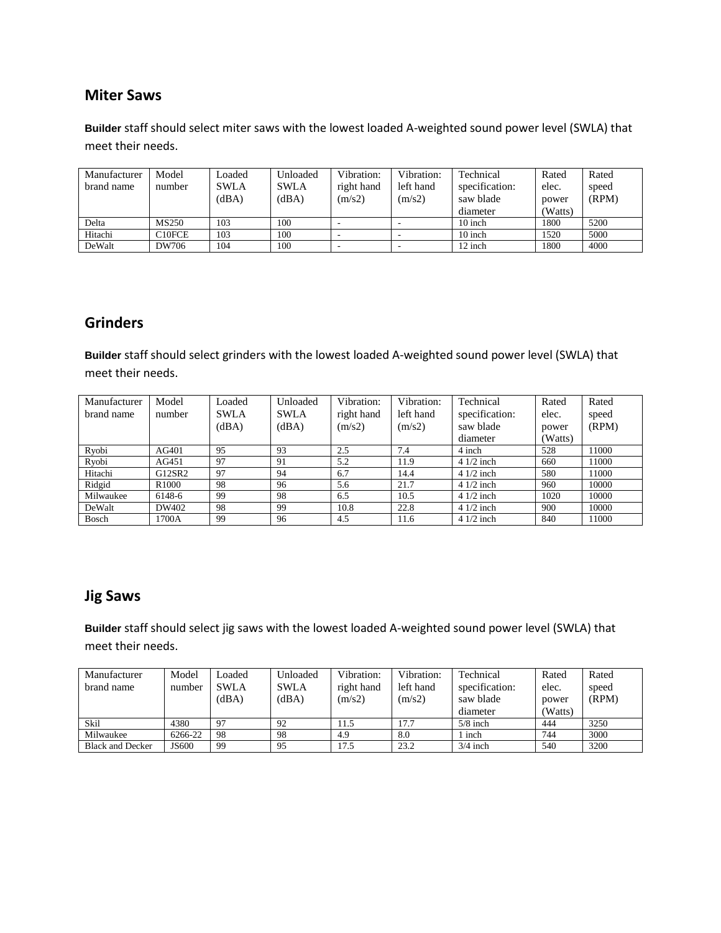#### **Miter Saws**

**Builder** staff should select miter saws with the lowest loaded A-weighted sound power level (SWLA) that meet their needs.

| Manufacturer | Model  | Loaded      | Unloaded    | Vibration: | Vibration:               | Technical      | Rated   | Rated |
|--------------|--------|-------------|-------------|------------|--------------------------|----------------|---------|-------|
| brand name   | number | <b>SWLA</b> | <b>SWLA</b> | right hand | left hand                | specification: | elec.   | speed |
|              |        | (dBA)       | (dBA)       | (m/s2)     | (m/s2)                   | saw blade      | power   | (RPM) |
|              |        |             |             |            |                          | diameter       | (Watts) |       |
| Delta        | MS250  | 103         | 100         |            |                          | $10$ inch      | 1800    | 5200  |
| Hitachi      | C10FCE | 103         | 100         |            | $\overline{\phantom{a}}$ | 10 inch        | 1520    | 5000  |
| DeWalt       | DW706  | 104         | 100         | ۰          |                          | 12 inch        | 1800    | 4000  |

#### **Grinders**

**Builder** staff should select grinders with the lowest loaded A-weighted sound power level (SWLA) that meet their needs.

| Manufacturer | Model             | Loaded      | Unloaded    | Vibration: | Vibration: | Technical      | Rated   | Rated |
|--------------|-------------------|-------------|-------------|------------|------------|----------------|---------|-------|
| brand name   | number            | <b>SWLA</b> | <b>SWLA</b> | right hand | left hand  | specification: | elec.   | speed |
|              |                   | (dBA)       | (dBA)       | (m/s2)     | (m/s2)     | saw blade      | power   | (RPM) |
|              |                   |             |             |            |            | diameter       | (Watts) |       |
| Ryobi        | AG401             | 95          | 93          | 2.5        | 7.4        | 4 inch         | 528     | 11000 |
| Ryobi        | AG451             | 97          | 91          | 5.2        | 11.9       | $41/2$ inch    | 660     | 11000 |
| Hitachi      | G12SR2            | 97          | 94          | 6.7        | 14.4       | $41/2$ inch    | 580     | 11000 |
| Ridgid       | R <sub>1000</sub> | 98          | 96          | 5.6        | 21.7       | $41/2$ inch    | 960     | 10000 |
| Milwaukee    | 6148-6            | 99          | 98          | 6.5        | 10.5       | $41/2$ inch    | 1020    | 10000 |
| DeWalt       | DW402             | 98          | -99         | 10.8       | 22.8       | $41/2$ inch    | 900     | 10000 |
| Bosch        | 1700A             | 99          | 96          | 4.5        | 11.6       | $41/2$ inch    | 840     | 11000 |

#### **Jig Saws**

**Builder** staff should select jig saws with the lowest loaded A-weighted sound power level (SWLA) that meet their needs.

| Manufacturer            | Model   | Loaded         | Unloaded)   | Vibration: | Vibration: | Technical      | Rated   | Rated |
|-------------------------|---------|----------------|-------------|------------|------------|----------------|---------|-------|
| brand name              | number  | <b>SWLA</b>    | <b>SWLA</b> | right hand | left hand  | specification: | elec.   | speed |
|                         |         | (dBA)          | (dBA)       | (m/s2)     | (m/s2)     | saw blade      | power   | (RPM) |
|                         |         |                |             |            |            | diameter       | (Watts) |       |
| Skil                    | 4380    | Q <sub>7</sub> | 92          | 11.5       | 17.7       | $5/8$ inch     | 444     | 3250  |
| Milwaukee               | 6266-22 | 98             | 98          | 4.9        | 8.0        | inch           | 744     | 3000  |
| <b>Black and Decker</b> | JS600   | 99             | 95          | 17.5       | 23.2       | $3/4$ inch     | 540     | 3200  |